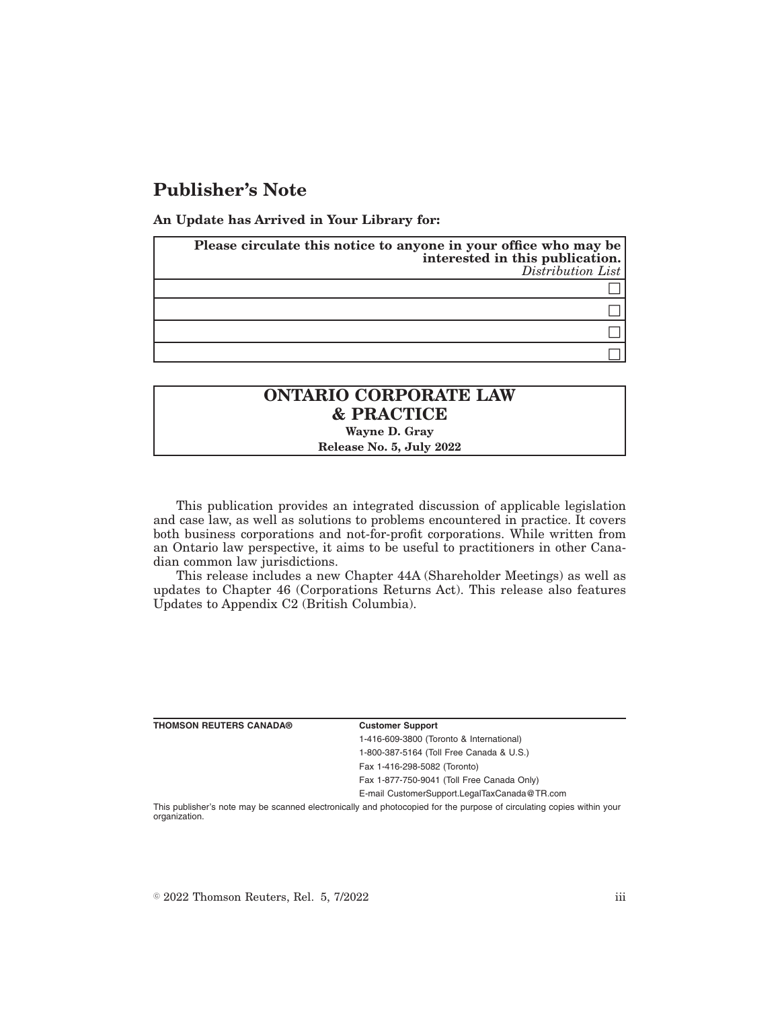## **Publisher's Note**

**An Update has Arrived in Your Library for:**

| Please circulate this notice to anyone in your office who may be<br>interested in this publication.<br>Distribution List |
|--------------------------------------------------------------------------------------------------------------------------|
|                                                                                                                          |
|                                                                                                                          |
|                                                                                                                          |
|                                                                                                                          |

## **ONTARIO CORPORATE LAW & PRACTICE Wayne D. Gray**

**Release No. 5, July 2022**

This publication provides an integrated discussion of applicable legislation and case law, as well as solutions to problems encountered in practice. It covers both business corporations and not-for-profit corporations. While written from an Ontario law perspective, it aims to be useful to practitioners in other Canadian common law jurisdictions.

This release includes a new Chapter 44A (Shareholder Meetings) as well as updates to Chapter 46 (Corporations Returns Act). This release also features Updates to Appendix C2 (British Columbia).

| <b>THOMSON REUTERS CANADA®</b> | <b>Customer Support</b>                                                                                               |
|--------------------------------|-----------------------------------------------------------------------------------------------------------------------|
|                                | 1-416-609-3800 (Toronto & International)                                                                              |
|                                | 1-800-387-5164 (Toll Free Canada & U.S.)                                                                              |
|                                | Fax 1-416-298-5082 (Toronto)                                                                                          |
|                                | Fax 1-877-750-9041 (Toll Free Canada Only)                                                                            |
|                                | E-mail CustomerSupport.LegalTaxCanada@TR.com                                                                          |
| organization.                  | This publisher's note may be scanned electronically and photocopied for the purpose of circulating copies within your |

 $\degree$  2022 Thomson Reuters, Rel. 5, 7/2022 iii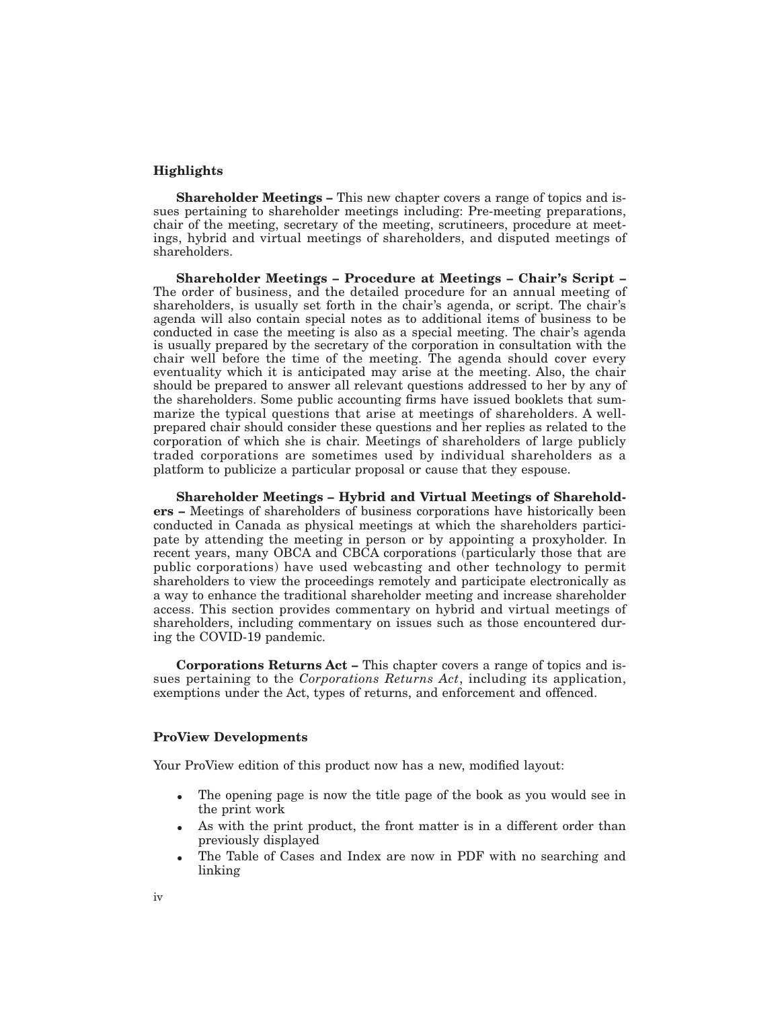## **Highlights**

**Shareholder Meetings –** This new chapter covers a range of topics and issues pertaining to shareholder meetings including: Pre-meeting preparations, chair of the meeting, secretary of the meeting, scrutineers, procedure at meetings, hybrid and virtual meetings of shareholders, and disputed meetings of shareholders.

**Shareholder Meetings – Procedure at Meetings – Chair's Script –** The order of business, and the detailed procedure for an annual meeting of shareholders, is usually set forth in the chair's agenda, or script. The chair's agenda will also contain special notes as to additional items of business to be conducted in case the meeting is also as a special meeting. The chair's agenda is usually prepared by the secretary of the corporation in consultation with the chair well before the time of the meeting. The agenda should cover every eventuality which it is anticipated may arise at the meeting. Also, the chair should be prepared to answer all relevant questions addressed to her by any of the shareholders. Some public accounting firms have issued booklets that summarize the typical questions that arise at meetings of shareholders. A wellprepared chair should consider these questions and her replies as related to the corporation of which she is chair. Meetings of shareholders of large publicly traded corporations are sometimes used by individual shareholders as a platform to publicize a particular proposal or cause that they espouse.

**Shareholder Meetings – Hybrid and Virtual Meetings of Shareholders –** Meetings of shareholders of business corporations have historically been conducted in Canada as physical meetings at which the shareholders participate by attending the meeting in person or by appointing a proxyholder. In recent years, many OBCA and CBCA corporations (particularly those that are public corporations) have used webcasting and other technology to permit shareholders to view the proceedings remotely and participate electronically as a way to enhance the traditional shareholder meeting and increase shareholder access. This section provides commentary on hybrid and virtual meetings of shareholders, including commentary on issues such as those encountered during the COVID-19 pandemic.

**Corporations Returns Act –** This chapter covers a range of topics and issues pertaining to the *Corporations Returns Act*, including its application, exemptions under the Act, types of returns, and enforcement and offenced.

## **ProView Developments**

Your ProView edition of this product now has a new, modified layout:

- The opening page is now the title page of the book as you would see in the print work
- As with the print product, the front matter is in a different order than previously displayed
- The Table of Cases and Index are now in PDF with no searching and linking